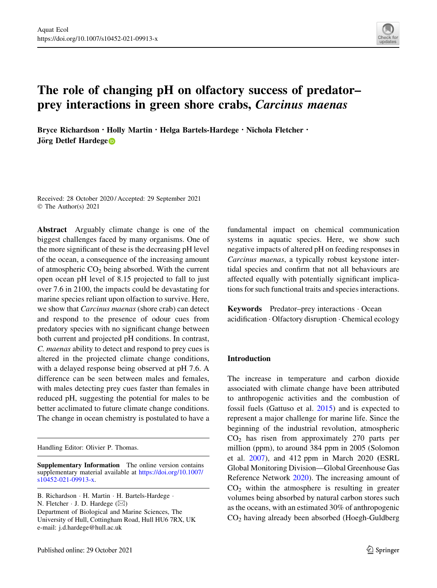

# The role of changing pH on olfactory success of predator– prey interactions in green shore crabs, Carcinus maenas

Bryce Richardson · Holly Martin · Helga Bartels-Hardege · Nichola Fletcher · Jörg D[e](http://orcid.org/0000-0002-7815-3969)tlef Hardege<sup>n</sup>

Received: 28 October 2020 / Accepted: 29 September 2021 © The Author(s) 2021

Abstract Arguably climate change is one of the biggest challenges faced by many organisms. One of the more significant of these is the decreasing pH level of the ocean, a consequence of the increasing amount of atmospheric  $CO<sub>2</sub>$  being absorbed. With the current open ocean pH level of 8.15 projected to fall to just over 7.6 in 2100, the impacts could be devastating for marine species reliant upon olfaction to survive. Here, we show that Carcinus maenas (shore crab) can detect and respond to the presence of odour cues from predatory species with no significant change between both current and projected pH conditions. In contrast, C. maenas ability to detect and respond to prey cues is altered in the projected climate change conditions, with a delayed response being observed at pH 7.6. A difference can be seen between males and females, with males detecting prey cues faster than females in reduced pH, suggesting the potential for males to be better acclimated to future climate change conditions. The change in ocean chemistry is postulated to have a

Handling Editor: Olivier P. Thomas.

Supplementary Information The online version contains supplementary material available at [https://doi.org/10.1007/](https://doi.org/10.1007/s10452-021-09913-x) [s10452-021-09913-x](https://doi.org/10.1007/s10452-021-09913-x).

B. Richardson · H. Martin · H. Bartels-Hardege · N. Fletcher  $\cdot$  J. D. Hardege ( $\boxtimes$ ) Department of Biological and Marine Sciences, The University of Hull, Cottingham Road, Hull HU6 7RX, UK e-mail: j.d.hardege@hull.ac.uk

fundamental impact on chemical communication systems in aquatic species. Here, we show such negative impacts of altered pH on feeding responses in Carcinus maenas, a typically robust keystone intertidal species and confirm that not all behaviours are affected equally with potentially significant implications for such functional traits and species interactions.

Keywords Predator–prey interactions - Ocean acidification - Olfactory disruption - Chemical ecology

# Introduction

The increase in temperature and carbon dioxide associated with climate change have been attributed to anthropogenic activities and the combustion of fossil fuels (Gattuso et al. [2015\)](#page-8-0) and is expected to represent a major challenge for marine life. Since the beginning of the industrial revolution, atmospheric  $CO<sub>2</sub>$  has risen from approximately 270 parts per million (ppm), to around 384 ppm in 2005 (Solomon et al. [2007\)](#page-9-0), and 412 ppm in March 2020 (ESRL Global Monitoring Division—Global Greenhouse Gas Reference Network [2020\)](#page-8-0). The increasing amount of  $CO<sub>2</sub>$  within the atmosphere is resulting in greater volumes being absorbed by natural carbon stores such as the oceans, with an estimated 30% of anthropogenic CO2 having already been absorbed (Hoegh-Guldberg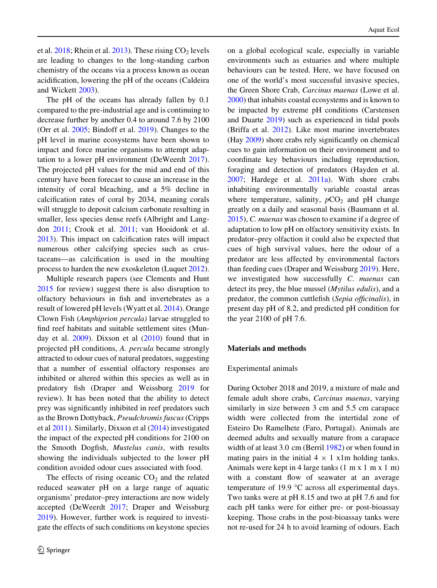et al.  $2018$ ; Rhein et al.  $2013$ ). These rising  $CO<sub>2</sub>$  levels are leading to changes to the long-standing carbon chemistry of the oceans via a process known as ocean acidification, lowering the pH of the oceans (Caldeira and Wickett [2003\)](#page-8-0).

The pH of the oceans has already fallen by 0.1 compared to the pre-industrial age and is continuing to decrease further by another 0.4 to around 7.6 by 2100 (Orr et al. [2005;](#page-8-0) Bindoff et al. [2019\)](#page-8-0). Changes to the pH level in marine ecosystems have been shown to impact and force marine organisms to attempt adaptation to a lower pH environment (DeWeerdt [2017](#page-8-0)). The projected pH values for the mid and end of this century have been forecast to cause an increase in the intensity of coral bleaching, and a 5% decline in calcification rates of coral by 2034, meaning corals will struggle to deposit calcium carbonate resulting in smaller, less species dense reefs (Albright and Langdon [2011](#page-7-0); Crook et al. [2011;](#page-8-0) van Hooidonk et al. [2013\)](#page-9-0). This impact on calcification rates will impact numerous other calcifying species such as crustaceans—as calcification is used in the moulting process to harden the new exoskeleton (Luquet [2012](#page-8-0)).

Multiple research papers (see Clements and Hunt [2015](#page-8-0) for review) suggest there is also disruption to olfactory behaviours in fish and invertebrates as a result of lowered pH levels (Wyatt et al. [2014](#page-9-0)). Orange Clown Fish (Amphiprion percula) larvae struggled to find reef habitats and suitable settlement sites (Munday et al.  $2009$ ). Dixson et al  $(2010)$  $(2010)$  found that in projected pH conditions, A. percula became strongly attracted to odour cues of natural predators, suggesting that a number of essential olfactory responses are inhibited or altered within this species as well as in predatory fish (Draper and Weissburg [2019](#page-8-0) for review). It has been noted that the ability to detect prey was significantly inhibited in reef predators such as the Brown Dottyback, Pseudchromis fuscus (Cripps et al [2011](#page-8-0)). Similarly, Dixson et al [\(2014](#page-8-0)) investigated the impact of the expected pH conditions for 2100 on the Smooth Dogfish, Mustelus canis, with results showing the individuals subjected to the lower pH condition avoided odour cues associated with food.

The effects of rising oceanic  $CO<sub>2</sub>$  and the related reduced seawater pH on a large range of aquatic organisms' predator–prey interactions are now widely accepted (DeWeerdt [2017;](#page-8-0) Draper and Weissburg [2019\)](#page-8-0). However, further work is required to investigate the effects of such conditions on keystone species on a global ecological scale, especially in variable environments such as estuaries and where multiple behaviours can be tested. Here, we have focused on one of the world's most successful invasive species, the Green Shore Crab, Carcinus maenas (Lowe et al. [2000\)](#page-8-0) that inhabits coastal ecosystems and is known to be impacted by extreme pH conditions (Carstensen and Duarte [2019\)](#page-8-0) such as experienced in tidal pools (Briffa et al. [2012](#page-8-0)). Like most marine invertebrates (Hay [2009](#page-8-0)) shore crabs rely significantly on chemical cues to gain information on their environment and to coordinate key behaviours including reproduction, foraging and detection of predators (Hayden et al. [2007;](#page-8-0) Hardege et al. [2011a\)](#page-8-0). With shore crabs inhabiting environmentally variable coastal areas where temperature, salinity,  $pCO<sub>2</sub>$  and pH change greatly on a daily and seasonal basis (Baumann et al. [2015\)](#page-7-0), C. maenas was chosen to examine if a degree of adaptation to low pH on olfactory sensitivity exists. In predator–prey olfaction it could also be expected that cues of high survival values, here the odour of a predator are less affected by environmental factors than feeding cues (Draper and Weissburg [2019](#page-8-0)). Here, we investigated how successfully C. maenas can detect its prey, the blue mussel (Mytilus edulis), and a predator, the common cuttlefish (Sepia officinalis), in present day pH of 8.2, and predicted pH condition for the year 2100 of pH 7.6.

# Materials and methods

## Experimental animals

During October 2018 and 2019, a mixture of male and female adult shore crabs, Carcinus maenas, varying similarly in size between 3 cm and 5.5 cm carapace width were collected from the intertidal zone of Esteiro Do Ramelhete (Faro, Portugal). Animals are deemed adults and sexually mature from a carapace width of at least 3.0 cm (Berril [1982](#page-7-0)) or when found in mating pairs in the initial  $4 \times 1$  x1m holding tanks. Animals were kept in 4 large tanks (1 m x 1 m x 1 m) with a constant flow of seawater at an average temperature of 19.9  $\degree$ C across all experimental days. Two tanks were at pH 8.15 and two at pH 7.6 and for each pH tanks were for either pre- or post-bioassay keeping. Those crabs in the post-bioassay tanks were not re-used for 24 h to avoid learning of odours. Each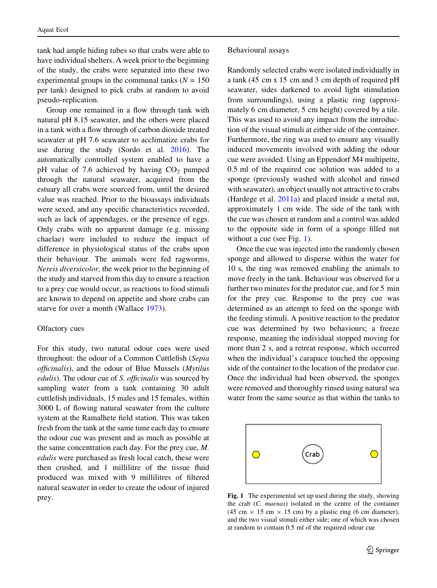tank had ample hiding tubes so that crabs were able to have individual shelters. A week prior to the beginning of the study, the crabs were separated into these two experimental groups in the communal tanks  $(N = 150)$ per tank) designed to pick crabs at random to avoid pseudo-replication.

Group one remained in a flow through tank with natural pH 8.15 seawater, and the others were placed in a tank with a flow through of carbon dioxide treated seawater at pH 7.6 seawater to acclimatize crabs for use during the study (Sordo et al. [2016\)](#page-9-0). The automatically controlled system enabled to have a pH value of 7.6 achieved by having  $CO<sub>2</sub>$  pumped through the natural seawater, acquired from the estuary all crabs were sourced from, until the desired value was reached. Prior to the bioassays individuals were sexed, and any specific characteristics recorded, such as lack of appendages, or the presence of eggs. Only crabs with no apparent damage (e.g. missing chaelae) were included to reduce the impact of difference in physiological status of the crabs upon their behaviour. The animals were fed ragworms, Nereis diversicolor, the week prior to the beginning of the study and starved from this day to ensure a reaction to a prey cue would occur, as reactions to food stimuli are known to depend on appetite and shore crabs can starve for over a month (Wallace [1973](#page-9-0)).

#### Olfactory cues

For this study, two natural odour cues were used throughout: the odour of a Common Cuttlefish (Sepia officinalis), and the odour of Blue Mussels (Mytilus edulis). The odour cue of S. officinalis was sourced by sampling water from a tank containing 30 adult cuttlefish individuals, 15 males and 15 females, within 3000 L of flowing natural seawater from the culture system at the Ramalhete field station. This was taken fresh from the tank at the same time each day to ensure the odour cue was present and as much as possible at the same concentration each day. For the prey cue, M. edulis were purchased as fresh local catch, these were then crushed, and 1 millilitre of the tissue fluid produced was mixed with 9 millilitres of filtered natural seawater in order to create the odour of injured prey.

#### Behavioural assays

Randomly selected crabs were isolated individually in a tank (45 cm x 15 cm and 3 cm depth of required pH seawater, sides darkened to avoid light stimulation from surroundings), using a plastic ring (approximately 6 cm diameter, 5 cm height) covered by a tile. This was used to avoid any impact from the introduction of the visual stimuli at either side of the container. Furthermore, the ring was used to ensure any visually induced movements involved with adding the odour cue were avoided. Using an Eppendorf M4 multipette, 0.5 ml of the required cue solution was added to a sponge (previously washed with alcohol and rinsed with seawater), an object usually not attractive to crabs (Hardege et al. [2011a](#page-8-0)) and placed inside a metal nut, approximately 1 cm wide. The side of the tank with the cue was chosen at random and a control was added to the opposite side in form of a sponge filled nut without a cue (see Fig. 1).

Once the cue was injected into the randomly chosen sponge and allowed to disperse within the water for 10 s, the ring was removed enabling the animals to move freely in the tank. Behaviour was observed for a further two minutes for the predator cue, and for 5 min for the prey cue. Response to the prey cue was determined as an attempt to feed on the sponge with the feeding stimuli. A positive reaction to the predator cue was determined by two behaviours; a freeze response, meaning the individual stopped moving for more than 2 s, and a retreat response, which occurred when the individual's carapace touched the opposing side of the container to the location of the predator cue. Once the individual had been observed, the sponges were removed and thoroughly rinsed using natural sea water from the same source as that within the tanks to



Fig. 1 The experimental set up used during the study, showing the crab (C. maenas) isolated in the centre of the container (45 cm  $\times$  15 cm  $\times$  15 cm) by a plastic ring (6 cm diameter), and the two visual stimuli either side; one of which was chosen at random to contain 0.5 ml of the required odour cue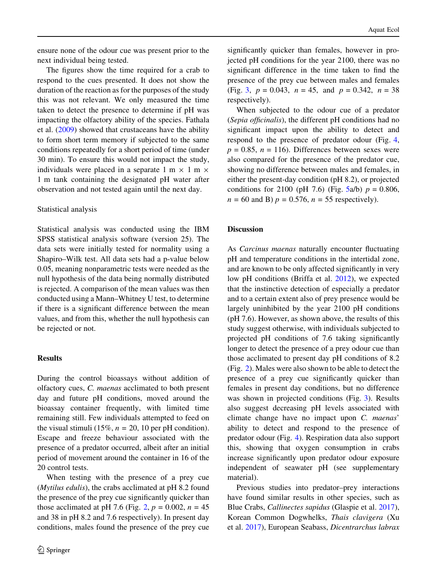ensure none of the odour cue was present prior to the next individual being tested.

The figures show the time required for a crab to respond to the cues presented. It does not show the duration of the reaction as for the purposes of the study this was not relevant. We only measured the time taken to detect the presence to determine if pH was impacting the olfactory ability of the species. Fathala et al. ([2009\)](#page-8-0) showed that crustaceans have the ability to form short term memory if subjected to the same conditions repeatedly for a short period of time (under 30 min). To ensure this would not impact the study, individuals were placed in a separate 1 m  $\times$  1 m  $\times$ 1 m tank containing the designated pH water after observation and not tested again until the next day.

## Statistical analysis

Statistical analysis was conducted using the IBM SPSS statistical analysis software (version 25). The data sets were initially tested for normality using a Shapiro–Wilk test. All data sets had a p-value below 0.05, meaning nonparametric tests were needed as the null hypothesis of the data being normally distributed is rejected. A comparison of the mean values was then conducted using a Mann–Whitney U test, to determine if there is a significant difference between the mean values, and from this, whether the null hypothesis can be rejected or not.

## Results

During the control bioassays without addition of olfactory cues, C. maenas acclimated to both present day and future pH conditions, moved around the bioassay container frequently, with limited time remaining still. Few individuals attempted to feed on the visual stimuli (15%,  $n = 20$ , 10 per pH condition). Escape and freeze behaviour associated with the presence of a predator occurred, albeit after an initial period of movement around the container in 16 of the 20 control tests.

When testing with the presence of a prey cue (Mytilus edulis), the crabs acclimated at pH 8.2 found the presence of the prey cue significantly quicker than those acclimated at pH 7.6 (Fig. [2,](#page-4-0)  $p = 0.002$ ,  $n = 45$ ) and 38 in pH 8.2 and 7.6 respectively). In present day conditions, males found the presence of the prey cue significantly quicker than females, however in projected pH conditions for the year 2100, there was no significant difference in the time taken to find the presence of the prey cue between males and females (Fig. [3](#page-4-0),  $p = 0.043$ ,  $n = 45$ , and  $p = 0.342$ ,  $n = 38$ respectively).

When subjected to the odour cue of a predator (Sepia officinalis), the different pH conditions had no significant impact upon the ability to detect and respond to the presence of predator odour (Fig. [4,](#page-5-0)  $p = 0.85$ ,  $n = 116$ ). Differences between sexes were also compared for the presence of the predator cue, showing no difference between males and females, in either the present-day condition (pH 8.2), or projected conditions for 2100 (pH 7.6) (Fig.  $5a/b$  $5a/b$ )  $p = 0.806$ ,  $n = 60$  and B)  $p = 0.576$ ,  $n = 55$  respectively).

## **Discussion**

As Carcinus maenas naturally encounter fluctuating pH and temperature conditions in the intertidal zone, and are known to be only affected significantly in very low pH conditions (Briffa et al. [2012\)](#page-8-0), we expected that the instinctive detection of especially a predator and to a certain extent also of prey presence would be largely uninhibited by the year 2100 pH conditions (pH 7.6). However, as shown above, the results of this study suggest otherwise, with individuals subjected to projected pH conditions of 7.6 taking significantly longer to detect the presence of a prey odour cue than those acclimated to present day pH conditions of 8.2 (Fig. [2](#page-4-0)). Males were also shown to be able to detect the presence of a prey cue significantly quicker than females in present day conditions, but no difference was shown in projected conditions (Fig. [3\)](#page-4-0). Results also suggest decreasing pH levels associated with climate change have no impact upon C. maenas' ability to detect and respond to the presence of predator odour (Fig. [4](#page-5-0)). Respiration data also support this, showing that oxygen consumption in crabs increase significantly upon predator odour exposure independent of seawater pH (see supplementary material).

Previous studies into predator–prey interactions have found similar results in other species, such as Blue Crabs, Callinectes sapidus (Glaspie et al. [2017](#page-8-0)), Korean Common Dogwhelks, Thais clavigera (Xu et al. [2017](#page-9-0)), European Seabass, Dicentrarchus labrax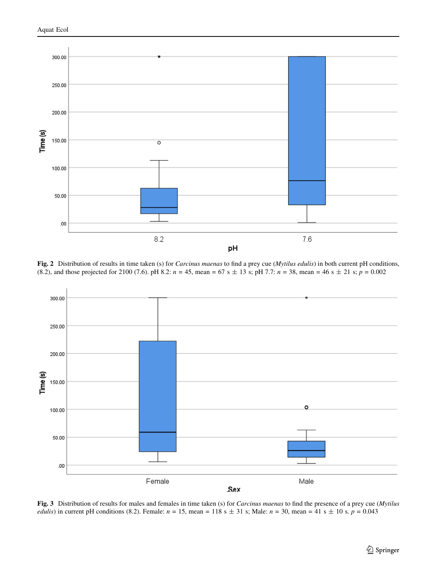<span id="page-4-0"></span>

Fig. 2 Distribution of results in time taken (s) for *Carcinus maenas* to find a prey cue (Mytilus edulis) in both current pH conditions, (8.2), and those projected for 2100 (7.6). pH 8.2:  $n = 45$ , mean = 67 s  $\pm$  13 s; pH 7.7:  $n = 38$ , mean = 46 s  $\pm$  21 s; p = 0.002



Fig. 3 Distribution of results for males and females in time taken (s) for *Carcinus maenas* to find the presence of a prey cue (Mytilus edulis) in current pH conditions (8.2). Female:  $n = 15$ , mean = 118 s  $\pm$  31 s; Male:  $n = 30$ , mean = 41 s  $\pm$  10 s.  $p = 0.043$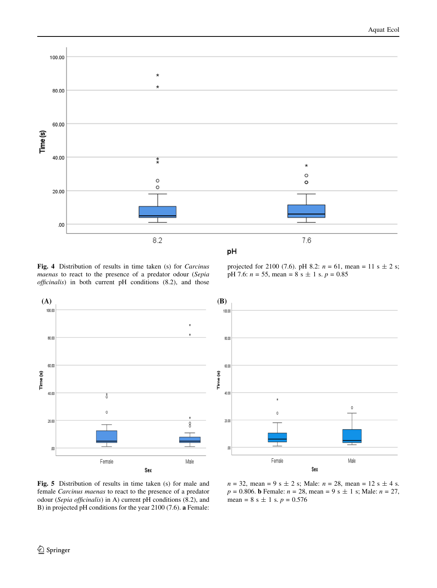<span id="page-5-0"></span>

Fig. 4 Distribution of results in time taken (s) for Carcinus maenas to react to the presence of a predator odour (Sepia officinalis) in both current pH conditions (8.2), and those







Fig. 5 Distribution of results in time taken (s) for male and female Carcinus maenas to react to the presence of a predator odour (Sepia officinalis) in A) current pH conditions (8.2), and B) in projected pH conditions for the year 2100 (7.6). a Female:

 $n = 32$ , mean = 9 s  $\pm$  2 s; Male:  $n = 28$ , mean = 12 s  $\pm$  4 s.  $p = 0.806$ . **b** Female:  $n = 28$ , mean = 9 s  $\pm$  1 s; Male:  $n = 27$ , mean =  $8 s \pm 1 s. p = 0.576$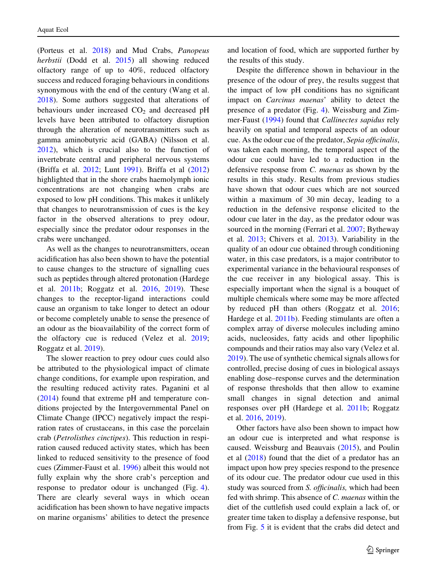(Porteus et al. [2018\)](#page-9-0) and Mud Crabs, Panopeus herbstii (Dodd et al. [2015\)](#page-8-0) all showing reduced olfactory range of up to 40%, reduced olfactory success and reduced foraging behaviours in conditions synonymous with the end of the century (Wang et al. [2018\)](#page-9-0). Some authors suggested that alterations of behaviours under increased  $CO<sub>2</sub>$  and decreased pH levels have been attributed to olfactory disruption through the alteration of neurotransmitters such as gamma aminobutyric acid (GABA) (Nilsson et al. [2012\)](#page-8-0), which is crucial also to the function of invertebrate central and peripheral nervous systems (Briffa et al. [2012;](#page-8-0) Lunt [1991](#page-8-0)). Briffa et al ([2012\)](#page-8-0) highlighted that in the shore crabs haemolymph ionic concentrations are not changing when crabs are exposed to low pH conditions. This makes it unlikely that changes to neurotransmission of cues is the key factor in the observed alterations to prey odour, especially since the predator odour responses in the crabs were unchanged.

As well as the changes to neurotransmitters, ocean acidification has also been shown to have the potential to cause changes to the structure of signalling cues such as peptides through altered protonation (Hardege et al. [2011b;](#page-8-0) Roggatz et al. [2016,](#page-9-0) [2019](#page-9-0)). These changes to the receptor-ligand interactions could cause an organism to take longer to detect an odour or become completely unable to sense the presence of an odour as the bioavailability of the correct form of the olfactory cue is reduced (Velez et al. [2019](#page-9-0); Roggatz et al. [2019\)](#page-9-0).

The slower reaction to prey odour cues could also be attributed to the physiological impact of climate change conditions, for example upon respiration, and the resulting reduced activity rates. Paganini et al [\(2014](#page-8-0)) found that extreme pH and temperature conditions projected by the Intergovernmental Panel on Climate Change (IPCC) negatively impact the respiration rates of crustaceans, in this case the porcelain crab (Petrolisthes cinctipes). This reduction in respiration caused reduced activity states, which has been linked to reduced sensitivity to the presence of food cues (Zimmer-Faust et al. [1996](#page-9-0)) albeit this would not fully explain why the shore crab's perception and response to predator odour is unchanged (Fig. [4](#page-5-0)). There are clearly several ways in which ocean acidification has been shown to have negative impacts on marine organisms' abilities to detect the presence and location of food, which are supported further by the results of this study.

Despite the difference shown in behaviour in the presence of the odour of prey, the results suggest that the impact of low pH conditions has no significant impact on Carcinus maenas' ability to detect the presence of a predator (Fig. [4](#page-5-0)). Weissburg and Zimmer-Faust ([1994\)](#page-9-0) found that Callinectes sapidus rely heavily on spatial and temporal aspects of an odour cue. As the odour cue of the predator, Sepia officinalis, was taken each morning, the temporal aspect of the odour cue could have led to a reduction in the defensive response from C. maenas as shown by the results in this study. Results from previous studies have shown that odour cues which are not sourced within a maximum of 30 min decay, leading to a reduction in the defensive response elicited to the odour cue later in the day, as the predator odour was sourced in the morning (Ferrari et al. [2007;](#page-8-0) Bytheway et al. [2013](#page-8-0); Chivers et al. [2013](#page-8-0)). Variability in the quality of an odour cue obtained through conditioning water, in this case predators, is a major contributor to experimental variance in the behavioural responses of the cue receiver in any biological assay. This is especially important when the signal is a bouquet of multiple chemicals where some may be more affected by reduced pH than others (Roggatz et al. [2016](#page-9-0); Hardege et al. [2011b](#page-8-0)). Feeding stimulants are often a complex array of diverse molecules including amino acids, nucleosides, fatty acids and other lipophilic compounds and their ratios may also vary (Velez et al. [2019\)](#page-9-0). The use of synthetic chemical signals allows for controlled, precise dosing of cues in biological assays enabling dose–response curves and the determination of response thresholds that then allow to examine small changes in signal detection and animal responses over pH (Hardege et al. [2011b;](#page-8-0) Roggatz et al. [2016](#page-9-0), [2019\)](#page-9-0).

Other factors have also been shown to impact how an odour cue is interpreted and what response is caused. Weissburg and Beauvais ([2015\)](#page-9-0), and Poulin et al ([2018\)](#page-9-0) found that the diet of a predator has an impact upon how prey species respond to the presence of its odour cue. The predator odour cue used in this study was sourced from S. officinalis, which had been fed with shrimp. This absence of C. maenas within the diet of the cuttlefish used could explain a lack of, or greater time taken to display a defensive response, but from Fig. [5](#page-5-0) it is evident that the crabs did detect and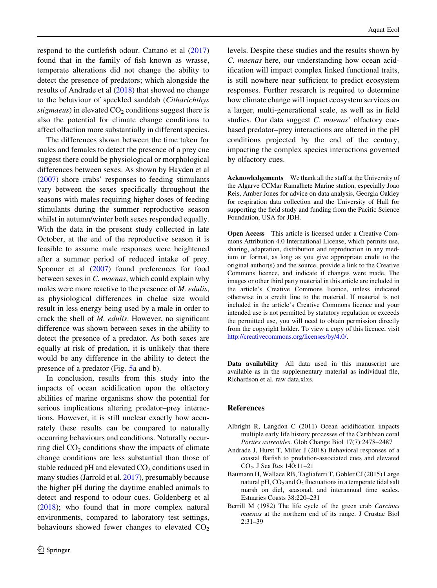<span id="page-7-0"></span>respond to the cuttlefish odour. Cattano et al ([2017\)](#page-8-0) found that in the family of fish known as wrasse, temperate alterations did not change the ability to detect the presence of predators; which alongside the results of Andrade et al (2018) that showed no change to the behaviour of speckled sanddab (Citharichthys stigmaeus) in elevated  $CO<sub>2</sub>$  conditions suggest there is also the potential for climate change conditions to affect olfaction more substantially in different species.

The differences shown between the time taken for males and females to detect the presence of a prey cue suggest there could be physiological or morphological differences between sexes. As shown by Hayden et al [\(2007](#page-8-0)) shore crabs' responses to feeding stimulants vary between the sexes specifically throughout the seasons with males requiring higher doses of feeding stimulants during the summer reproductive season whilst in autumn/winter both sexes responded equally. With the data in the present study collected in late October, at the end of the reproductive season it is feasible to assume male responses were heightened after a summer period of reduced intake of prey. Spooner et al ([2007\)](#page-9-0) found preferences for food between sexes in C. maenas, which could explain why males were more reactive to the presence of M. edulis, as physiological differences in chelae size would result in less energy being used by a male in order to crack the shell of M. edulis. However, no significant difference was shown between sexes in the ability to detect the presence of a predator. As both sexes are equally at risk of predation, it is unlikely that there would be any difference in the ability to detect the presence of a predator (Fig. [5a](#page-5-0) and b).

In conclusion, results from this study into the impacts of ocean acidification upon the olfactory abilities of marine organisms show the potential for serious implications altering predator–prey interactions. However, it is still unclear exactly how accurately these results can be compared to naturally occurring behaviours and conditions. Naturally occurring diel  $CO<sub>2</sub>$  conditions show the impacts of climate change conditions are less substantial than those of stable reduced pH and elevated  $CO<sub>2</sub>$  conditions used in many studies (Jarrold et al. [2017](#page-8-0)), presumably because the higher pH during the daytime enabled animals to detect and respond to odour cues. Goldenberg et al [\(2018](#page-8-0)); who found that in more complex natural environments, compared to laboratory test settings, behaviours showed fewer changes to elevated  $CO<sub>2</sub>$ 

levels. Despite these studies and the results shown by C. maenas here, our understanding how ocean acidification will impact complex linked functional traits, is still nowhere near sufficient to predict ecosystem responses. Further research is required to determine how climate change will impact ecosystem services on a larger, multi-generational scale, as well as in field studies. Our data suggest C. maenas' olfactory cuebased predator–prey interactions are altered in the pH conditions projected by the end of the century, impacting the complex species interactions governed by olfactory cues.

Acknowledgements We thank all the staff at the University of the Algarve CCMar Ramalhete Marine station, especially Joao Reis, Amber Jones for advice on data analysis, Georgia Oakley for respiration data collection and the University of Hull for supporting the field study and funding from the Pacific Science Foundation, USA for JDH.

Open Access This article is licensed under a Creative Commons Attribution 4.0 International License, which permits use, sharing, adaptation, distribution and reproduction in any medium or format, as long as you give appropriate credit to the original author(s) and the source, provide a link to the Creative Commons licence, and indicate if changes were made. The images or other third party material in this article are included in the article's Creative Commons licence, unless indicated otherwise in a credit line to the material. If material is not included in the article's Creative Commons licence and your intended use is not permitted by statutory regulation or exceeds the permitted use, you will need to obtain permission directly from the copyright holder. To view a copy of this licence, visit <http://creativecommons.org/licenses/by/4.0/>.

Data availability All data used in this manuscript are available as in the supplementary material as individual file, Richardson et al. raw data.xlxs.

# References

- Albright R, Langdon C (2011) Ocean acidification impacts multiple early life history processes of the Caribbean coral Porites astreoides. Glob Change Biol 17(7):2478–2487
- Andrade J, Hurst T, Miller J (2018) Behavioral responses of a coastal flatfish to predation-associated cues and elevated CO<sub>2</sub>. J Sea Res 140:11-21
- Baumann H, Wallace RB, Tagliaferri T, Gobler CJ (2015) Large natural pH,  $CO<sub>2</sub>$  and  $O<sub>2</sub>$  fluctuations in a temperate tidal salt marsh on diel, seasonal, and interannual time scales. Estuaries Coasts 38:220–231
- Berrill M (1982) The life cycle of the green crab Carcinus maenas at the northern end of its range. J Crustac Biol 2:31–39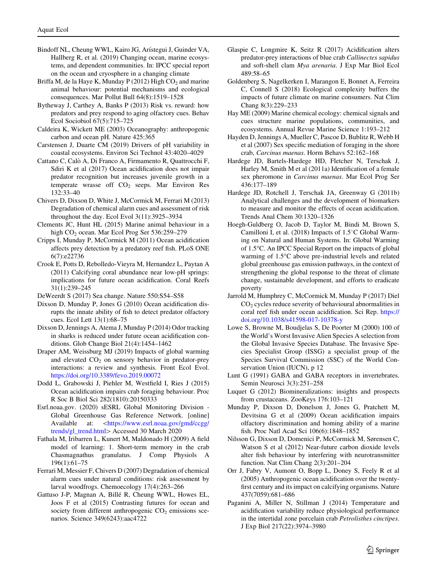- <span id="page-8-0"></span>Bindoff NL, Cheung WWL, Kairo JG, Arístegui J, Guinder VA, Hallberg R, et al. (2019) Changing ocean, marine ecosystems, and dependent communities. In: IPCC special report on the ocean and cryosphere in a changing climate
- Briffa M, de la Haye K, Munday P (2012) High  $CO<sub>2</sub>$  and marine animal behaviour: potential mechanisms and ecological consequences. Mar Pollut Bull 64(8):1519–1528
- Bytheway J, Carthey A, Banks P (2013) Risk vs. reward: how predators and prey respond to aging olfactory cues. Behav Ecol Sociobiol 67(5):715–725
- Caldeira K, Wickett ME (2003) Oceanography: anthropogenic carbon and ocean pH. Nature 425:365
- Carstensen J, Duarte CM (2019) Drivers of pH variability in coastal ecosystems. Environ Sci Technol 43:4020–4029
- Cattano C, Calo` A, Di Franco A, Firmamento R, Quattrocchi F, Sdiri K et al (2017) Ocean acidification does not impair predator recognition but increases juvenile growth in a temperate wrasse off  $CO<sub>2</sub>$  seeps. Mar Environ Res 132:33–40
- Chivers D, Dixson D, White J, McCormick M, Ferrari M (2013) Degradation of chemical alarm cues and assessment of risk throughout the day. Ecol Evol 3(11):3925–3934
- Clements JC, Hunt HL (2015) Marine animal behaviour in a high CO<sub>2</sub> ocean. Mar Ecol Prog Ser 536:259–279
- Cripps I, Munday P, McCormick M (2011) Ocean acidification affects prey detection by a predatory reef fish. PLoS ONE 6(7):e22736
- Crook E, Potts D, Rebolledo-Vieyra M, Hernandez L, Paytan A (2011) Calcifying coral abundance near low-pH springs: implications for future ocean acidification. Coral Reefs 31(1):239–245
- DeWeerdt S (2017) Sea change. Nature 550:S54–S58
- Dixson D, Munday P, Jones G (2010) Ocean acidification disrupts the innate ability of fish to detect predator olfactory cues. Ecol Lett 13(1):68–75
- Dixson D, Jennings A, Atema J, Munday P (2014) Odor tracking in sharks is reduced under future ocean acidification conditions. Glob Change Biol 21(4):1454–1462
- Draper AM, Weissburg MJ (2019) Impacts of global warming and elevated  $CO<sub>2</sub>$  on sensory behavior in predator-prey interactions: a review and synthesis. Front Ecol Evol. <https://doi.org/10.3389/fevo.2019.00072>
- Dodd L, Grabowski J, Piehler M, Westfield I, Ries J (2015) Ocean acidification impairs crab foraging behaviour. Proc R Soc B Biol Sci 282(1810):20150333
- Esrl.noaa.gov. (2020) sESRL Global Monitoring Division Global Greenhouse Gas Reference Network. [online] Available at: <[https://www.esrl.noaa.gov/gmd/ccgg/](https://www.esrl.noaa.gov/gmd/ccgg/trends/gl_trend.html) [trends/gl\\_trend.html](https://www.esrl.noaa.gov/gmd/ccgg/trends/gl_trend.html)> Accessed 30 March 2020
- Fathala M, Iribarren L, Kunert M, Maldonado H (2009) A field model of learning: 1. Short-term memory in the crab Chasmagnathus granulatus. J Comp Physiols A 196(1):61–75
- Ferrari M, Messier F, Chivers D (2007) Degradation of chemical alarm cues under natural conditions: risk assessment by larval woodfrogs. Chemoecology 17(4):263–266
- Gattuso J-P, Magnan A, Billé R, Cheung WWL, Howes EL, Joos F et al (2015) Contrasting futures for ocean and society from different anthropogenic  $CO<sub>2</sub>$  emissions scenarios. Science 349(6243):aac4722
- Glaspie C, Longmire K, Seitz R (2017) Acidification alters predator-prey interactions of blue crab Callinectes sapidus and soft-shell clam Mya arenaria. J Exp Mar Biol Ecol 489:58–65
- Goldenberg S, Nagelkerken I, Marangon E, Bonnet A, Ferreira C, Connell S (2018) Ecological complexity buffers the impacts of future climate on marine consumers. Nat Clim Chang 8(3):229–233
- Hay ME (2009) Marine chemical ecology: chemical signals and cues structure marine populations, communities, and ecosystems. Annual Revue Marine Science 1:193–212
- Hayden D, Jennings A, Mueller C, Pascoe D, Bublitz R, Webb H et al (2007) Sex specific mediation of foraging in the shore crab, Carcinus maenas. Horm Behavs 52:162–168
- Hardege JD, Bartels-Hardege HD, Fletcher N, Terschak J, Harley M, Smith M et al (2011a) Identification of a female sex pheromone in Carcinus maenas. Mar Ecol Prog Ser 436:177–189
- Hardege JD, Rotchell J, Terschak JA, Greenway G (2011b) Analytical challenges and the development of biomarkers to measure and monitor the effects of ocean acidification. Trends Anal Chem 30:1320–1326
- Hoegh-Guldberg O, Jacob D, Taylor M, Bindi M, Brown S, Camilloni I, et al. (2018) Impacts of  $1.5^{\circ}$ C Global Warming on Natural and Human Systems. In: Global Warming of 1.5C. An IPCC Special Report on the impacts of global warming of 1.5°C above pre-industrial levels and related global greenhouse gas emission pathways, in the context of strengthening the global response to the threat of climate change, sustainable development, and efforts to eradicate poverty
- Jarrold M, Humphrey C, McCormick M, Munday P (2017) Diel CO2 cycles reduce severity of behavioural abnormalities in coral reef fish under ocean acidification. Sci Rep. [https://](https://doi.org/10.1038/s41598-017-10378-y) [doi.org/10.1038/s41598-017-10378-y](https://doi.org/10.1038/s41598-017-10378-y)
- Lowe S, Browne M, Boudjelas S, De Poorter M (2000) 100 of the World's Worst Invasive Alien Species A selection from the Global Invasive Species Database. The Invasive Species Specialist Group (ISSG) a specialist group of the Species Survival Commission (SSC) of the World Conservation Union (IUCN), p 12
- Lunt G (1991) GABA and GABA receptors in invertebrates. Semin Neurosci 3(3):251–258
- Luquet G (2012) Biomineralizations: insights and prospects from crustaceans. ZooKeys 176:103–121
- Munday P, Dixson D, Donelson J, Jones G, Pratchett M, Devitsina G et al (2009) Ocean acidification impairs olfactory discrimination and homing ability of a marine fish. Proc Natl Acad Sci 106(6):1848–1852
- Nilsson G, Dixson D, Domenici P, McCormick M, Sørensen C, Watson S et al (2012) Near-future carbon dioxide levels alter fish behaviour by interfering with neurotransmitter function. Nat Clim Chang 2(3):201–204
- Orr J, Fabry V, Aumont O, Bopp L, Doney S, Feely R et al (2005) Anthropogenic ocean acidification over the twentyfirst century and its impact on calcifying organisms. Nature 437(7059):681–686
- Paganini A, Miller N, Stillman J (2014) Temperature and acidification variability reduce physiological performance in the intertidal zone porcelain crab Petrolisthes cinctipes. J Exp Biol 217(22):3974–3980